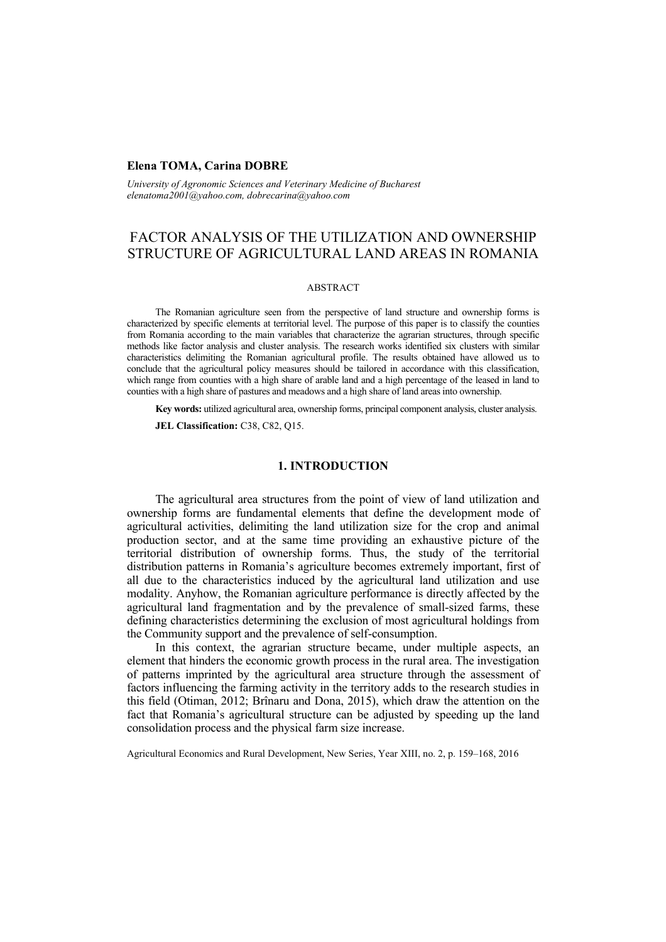## **Elena TOMA, Carina DOBRE**

*University of Agronomic Sciences and Veterinary Medicine of Bucharest elenatoma2001@yahoo.com, dobrecarina@yahoo.com* 

# FACTOR ANALYSIS OF THE UTILIZATION AND OWNERSHIP STRUCTURE OF AGRICULTURAL LAND AREAS IN ROMANIA

#### **ABSTRACT**

The Romanian agriculture seen from the perspective of land structure and ownership forms is characterized by specific elements at territorial level. The purpose of this paper is to classify the counties from Romania according to the main variables that characterize the agrarian structures, through specific methods like factor analysis and cluster analysis. The research works identified six clusters with similar characteristics delimiting the Romanian agricultural profile. The results obtained have allowed us to conclude that the agricultural policy measures should be tailored in accordance with this classification, which range from counties with a high share of arable land and a high percentage of the leased in land to counties with a high share of pastures and meadows and a high share of land areas into ownership.

**Key words:** utilized agricultural area, ownership forms, principal component analysis, cluster analysis. **JEL Classification:** C38, C82, Q15.

# **1. INTRODUCTION**

The agricultural area structures from the point of view of land utilization and ownership forms are fundamental elements that define the development mode of agricultural activities, delimiting the land utilization size for the crop and animal production sector, and at the same time providing an exhaustive picture of the territorial distribution of ownership forms. Thus, the study of the territorial distribution patterns in Romania's agriculture becomes extremely important, first of all due to the characteristics induced by the agricultural land utilization and use modality. Anyhow, the Romanian agriculture performance is directly affected by the agricultural land fragmentation and by the prevalence of small-sized farms, these defining characteristics determining the exclusion of most agricultural holdings from the Community support and the prevalence of self-consumption.

In this context, the agrarian structure became, under multiple aspects, an element that hinders the economic growth process in the rural area. The investigation of patterns imprinted by the agricultural area structure through the assessment of factors influencing the farming activity in the territory adds to the research studies in this field (Otiman, 2012; Brînaru and Dona, 2015), which draw the attention on the fact that Romania's agricultural structure can be adjusted by speeding up the land consolidation process and the physical farm size increase.

Agricultural Economics and Rural Development, New Series, Year XIII, no. 2, p. 159–168, 2016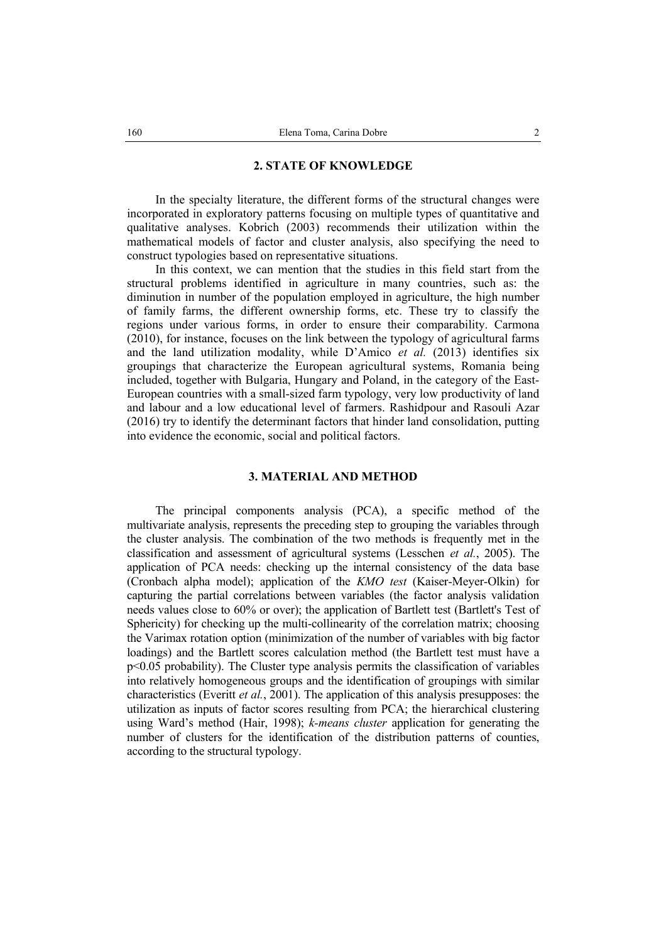## **2. STATE OF KNOWLEDGE**

In the specialty literature, the different forms of the structural changes were incorporated in exploratory patterns focusing on multiple types of quantitative and qualitative analyses. Kobrich (2003) recommends their utilization within the mathematical models of factor and cluster analysis, also specifying the need to construct typologies based on representative situations.

In this context, we can mention that the studies in this field start from the structural problems identified in agriculture in many countries, such as: the diminution in number of the population employed in agriculture, the high number of family farms, the different ownership forms, etc. These try to classify the regions under various forms, in order to ensure their comparability. Carmona (2010), for instance, focuses on the link between the typology of agricultural farms and the land utilization modality, while D'Amico *et al.* (2013) identifies six groupings that characterize the European agricultural systems, Romania being included, together with Bulgaria, Hungary and Poland, in the category of the East-European countries with a small-sized farm typology, very low productivity of land and labour and a low educational level of farmers. Rashidpour and Rasouli Azar (2016) try to identify the determinant factors that hinder land consolidation, putting into evidence the economic, social and political factors.

## **3. MATERIAL AND METHOD**

The principal components analysis (PCA), a specific method of the multivariate analysis, represents the preceding step to grouping the variables through the cluster analysis. The combination of the two methods is frequently met in the classification and assessment of agricultural systems (Lesschen *et al.*, 2005). The application of PCA needs: checking up the internal consistency of the data base (Cronbach alpha model); application of the *KMO test* (Kaiser-Meyer-Olkin) for capturing the partial correlations between variables (the factor analysis validation needs values close to 60% or over); the application of Bartlett test (Bartlett's Test of Sphericity) for checking up the multi-collinearity of the correlation matrix; choosing the Varimax rotation option (minimization of the number of variables with big factor loadings) and the Bartlett scores calculation method (the Bartlett test must have a p<0.05 probability). The Cluster type analysis permits the classification of variables into relatively homogeneous groups and the identification of groupings with similar characteristics (Everitt *et al.*, 2001). The application of this analysis presupposes: the utilization as inputs of factor scores resulting from PCA; the hierarchical clustering using Ward's method (Hair, 1998); *k-means cluster* application for generating the number of clusters for the identification of the distribution patterns of counties, according to the structural typology.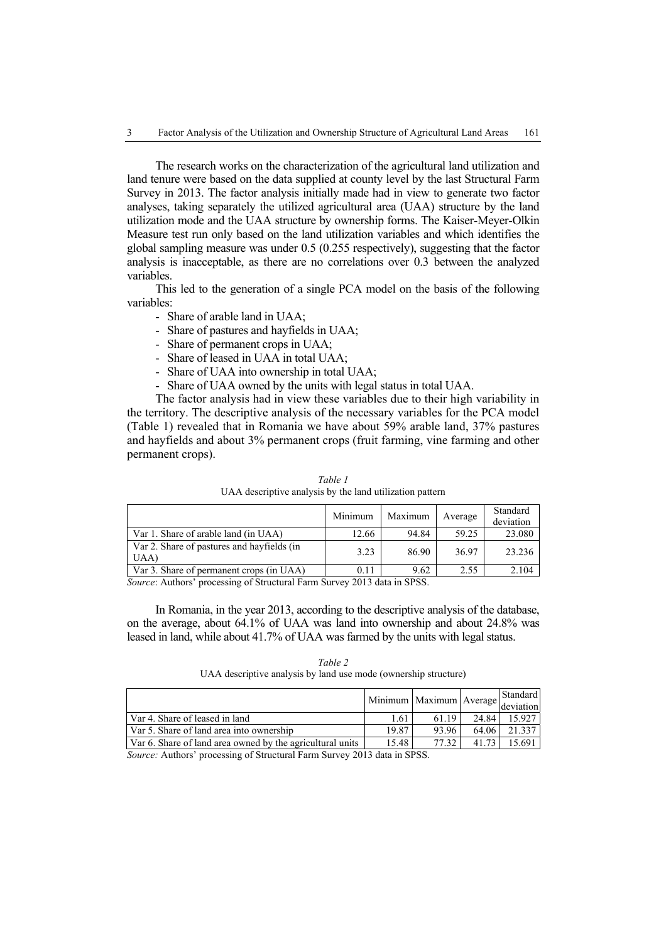The research works on the characterization of the agricultural land utilization and land tenure were based on the data supplied at county level by the last Structural Farm Survey in 2013. The factor analysis initially made had in view to generate two factor analyses, taking separately the utilized agricultural area (UAA) structure by the land utilization mode and the UAA structure by ownership forms. The Kaiser-Meyer-Olkin Measure test run only based on the land utilization variables and which identifies the global sampling measure was under 0.5 (0.255 respectively), suggesting that the factor analysis is inacceptable, as there are no correlations over 0.3 between the analyzed variables.

This led to the generation of a single PCA model on the basis of the following variables:

- Share of arable land in UAA;
- Share of pastures and hayfields in UAA;
- Share of permanent crops in UAA;
- Share of leased in UAA in total UAA;
- Share of UAA into ownership in total UAA;
- Share of UAA owned by the units with legal status in total UAA.

The factor analysis had in view these variables due to their high variability in the territory. The descriptive analysis of the necessary variables for the PCA model (Table 1) revealed that in Romania we have about 59% arable land, 37% pastures and hayfields and about 3% permanent crops (fruit farming, vine farming and other permanent crops).

|                                                   | Minimum | Maximum | Average | Standard<br>deviation |
|---------------------------------------------------|---------|---------|---------|-----------------------|
| Var 1. Share of arable land (in UAA)              | 12.66   | 94.84   | 59.25   | 23.080                |
| Var 2. Share of pastures and hayfields (in<br>UAA | 3.23    | 86.90   | 36.97   | 23.236                |
| Var 3. Share of permanent crops (in UAA)          |         | 9.62    | 2.55    | 2.104                 |

*Table 1*  UAA descriptive analysis by the land utilization pattern

*Source*: Authors' processing of Structural Farm Survey 2013 data in SPSS.

In Romania, in the year 2013, according to the descriptive analysis of the database, on the average, about 64.1% of UAA was land into ownership and about 24.8% was leased in land, while about 41.7% of UAA was farmed by the units with legal status.

#### *Table 2*  UAA descriptive analysis by land use mode (ownership structure)

|                                                           |       | Minimum   Maximum   Average   deviation |         | Standard |
|-----------------------------------------------------------|-------|-----------------------------------------|---------|----------|
| Var 4. Share of leased in land                            | 1.61  | 61 19                                   | 24 84 1 | 15.927   |
| Var 5. Share of land area into ownership                  | 19.87 | 93.96                                   | 64 06   | 21.337   |
| Var 6. Share of land area owned by the agricultural units | 15.48 | 77.32                                   | 41 73   | 15 691 1 |

*Source:* Authors' processing of Structural Farm Survey 2013 data in SPSS.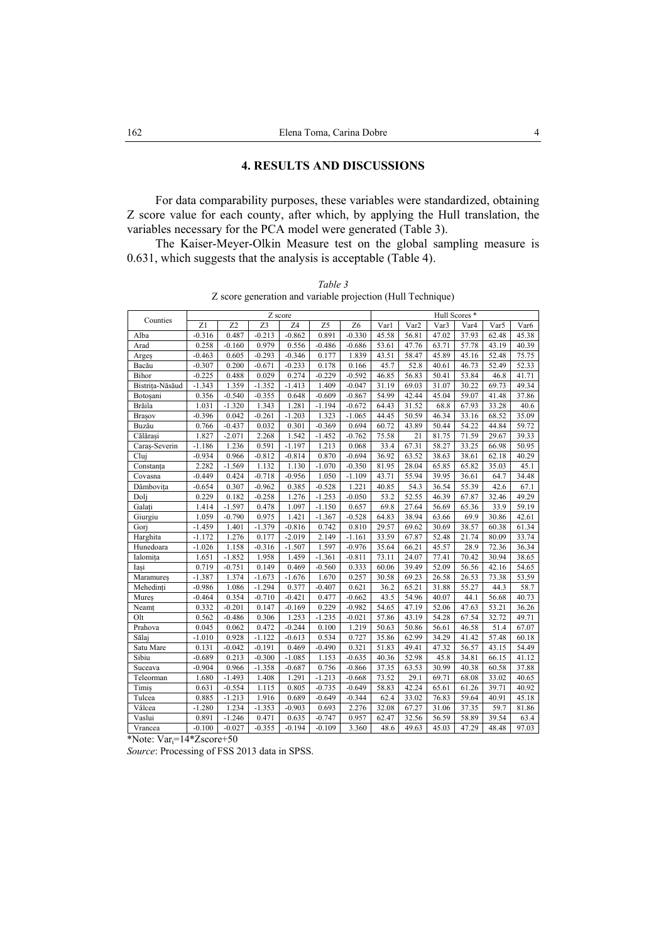# **4. RESULTS AND DISCUSSIONS**

For data comparability purposes, these variables were standardized, obtaining Z score value for each county, after which, by applying the Hull translation, the variables necessary for the PCA model were generated (Table 3).

The Kaiser-Meyer-Olkin Measure test on the global sampling measure is 0.631, which suggests that the analysis is acceptable (Table 4).

| Table 3                                                     |
|-------------------------------------------------------------|
| Z score generation and variable projection (Hull Technique) |

|                 | Z score  |                 |          |          |          |                | Hull Scores * |       |                  |       |       |                  |
|-----------------|----------|-----------------|----------|----------|----------|----------------|---------------|-------|------------------|-------|-------|------------------|
| Counties        | Z1       | $\overline{Z}2$ | Z3       | Z4       | Z5       | Z <sub>6</sub> | Varl          | Var2  | Var <sub>3</sub> | Var4  | Var5  | Var <sub>6</sub> |
| Alba            | $-0.316$ | 0.487           | $-0.213$ | $-0.862$ | 0.891    | $-0.330$       | 45.58         | 56.81 | 47.02            | 37.93 | 62.48 | 45.38            |
| Arad            | 0.258    | $-0.160$        | 0.979    | 0.556    | $-0.486$ | $-0.686$       | 53.61         | 47.76 | 63.71            | 57.78 | 43.19 | 40.39            |
| Arges           | $-0.463$ | 0.605           | $-0.293$ | $-0.346$ | 0.177    | 1.839          | 43.51         | 58.47 | 45.89            | 45.16 | 52.48 | 75.75            |
| Bacău           | $-0.307$ | 0.200           | $-0.671$ | $-0.233$ | 0.178    | 0.166          | 45.7          | 52.8  | 40.61            | 46.73 | 52.49 | 52.33            |
| Bihor           | $-0.225$ | 0.488           | 0.029    | 0.274    | $-0.229$ | $-0.592$       | 46.85         | 56.83 | 50.41            | 53.84 | 46.8  | 41.71            |
| Bistrita-Năsăud | $-1.343$ | 1.359           | $-1.352$ | $-1.413$ | 1.409    | $-0.047$       | 31.19         | 69.03 | 31.07            | 30.22 | 69.73 | 49.34            |
| Botosani        | 0.356    | $-0.540$        | $-0.355$ | 0.648    | $-0.609$ | $-0.867$       | 54.99         | 42.44 | 45.04            | 59.07 | 41.48 | 37.86            |
| Brăila          | 1.031    | $-1.320$        | 1.343    | 1.281    | $-1.194$ | $-0.672$       | 64.43         | 31.52 | 68.8             | 67.93 | 33.28 | 40.6             |
| Brașov          | $-0.396$ | 0.042           | $-0.261$ | $-1.203$ | 1.323    | $-1.065$       | 44.45         | 50.59 | 46.34            | 33.16 | 68.52 | 35.09            |
| Buzău           | 0.766    | $-0.437$        | 0.032    | 0.301    | $-0.369$ | 0.694          | 60.72         | 43.89 | 50.44            | 54.22 | 44.84 | 59.72            |
| Călărași        | 1.827    | $-2.071$        | 2.268    | 1.542    | $-1.452$ | $-0.762$       | 75.58         | 21    | 81.75            | 71.59 | 29.67 | 39.33            |
| Caraș-Severin   | $-1.186$ | 1.236           | 0.591    | $-1.197$ | 1.213    | 0.068          | 33.4          | 67.31 | 58.27            | 33.25 | 66.98 | 50.95            |
| Clui            | $-0.934$ | 0.966           | $-0.812$ | $-0.814$ | 0.870    | $-0.694$       | 36.92         | 63.52 | 38.63            | 38.61 | 62.18 | 40.29            |
| Constanța       | 2.282    | $-1.569$        | 1.132    | 1.130    | $-1.070$ | $-0.350$       | 81.95         | 28.04 | 65.85            | 65.82 | 35.03 | 45.1             |
| Covasna         | $-0.449$ | 0.424           | $-0.718$ | $-0.956$ | 1.050    | $-1.109$       | 43.71         | 55.94 | 39.95            | 36.61 | 64.7  | 34.48            |
| Dâmbovița       | $-0.654$ | 0.307           | $-0.962$ | 0.385    | $-0.528$ | 1.221          | 40.85         | 54.3  | 36.54            | 55.39 | 42.6  | 67.1             |
| Dolj            | 0.229    | 0.182           | $-0.258$ | 1.276    | $-1.253$ | $-0.050$       | 53.2          | 52.55 | 46.39            | 67.87 | 32.46 | 49.29            |
| Galați          | 1.414    | $-1.597$        | 0.478    | 1.097    | $-1.150$ | 0.657          | 69.8          | 27.64 | 56.69            | 65.36 | 33.9  | 59.19            |
| Giurgiu         | 1.059    | $-0.790$        | 0.975    | 1.421    | $-1.367$ | $-0.528$       | 64.83         | 38.94 | 63.66            | 69.9  | 30.86 | 42.61            |
| Gori            | $-1.459$ | 1.401           | $-1.379$ | $-0.816$ | 0.742    | 0.810          | 29.57         | 69.62 | 30.69            | 38.57 | 60.38 | 61.34            |
| Harghita        | $-1.172$ | 1.276           | 0.177    | $-2.019$ | 2.149    | $-1.161$       | 33.59         | 67.87 | 52.48            | 21.74 | 80.09 | 33.74            |
| Hunedoara       | $-1.026$ | 1.158           | $-0.316$ | $-1.507$ | 1.597    | $-0.976$       | 35.64         | 66.21 | 45.57            | 28.9  | 72.36 | 36.34            |
| Ialomița        | 1.651    | $-1.852$        | 1.958    | 1.459    | $-1.361$ | $-0.811$       | 73.11         | 24.07 | 77.41            | 70.42 | 30.94 | 38.65            |
| Iași            | 0.719    | $-0.751$        | 0.149    | 0.469    | $-0.560$ | 0.333          | 60.06         | 39.49 | 52.09            | 56.56 | 42.16 | 54.65            |
| Maramures       | $-1.387$ | 1.374           | $-1.673$ | $-1.676$ | 1.670    | 0.257          | 30.58         | 69.23 | 26.58            | 26.53 | 73.38 | 53.59            |
| Mehedinți       | $-0.986$ | 1.086           | $-1.294$ | 0.377    | $-0.407$ | 0.621          | 36.2          | 65.21 | 31.88            | 55.27 | 44.3  | 58.7             |
| Mures           | $-0.464$ | 0.354           | $-0.710$ | $-0.421$ | 0.477    | $-0.662$       | 43.5          | 54.96 | 40.07            | 44.1  | 56.68 | 40.73            |
| Neamt           | 0.332    | $-0.201$        | 0.147    | $-0.169$ | 0.229    | $-0.982$       | 54.65         | 47.19 | 52.06            | 47.63 | 53.21 | 36.26            |
| Olt             | 0.562    | $-0.486$        | 0.306    | 1.253    | $-1.235$ | $-0.021$       | 57.86         | 43.19 | 54.28            | 67.54 | 32.72 | 49.71            |
| Prahova         | 0.045    | 0.062           | 0.472    | $-0.244$ | 0.100    | 1.219          | 50.63         | 50.86 | 56.61            | 46.58 | 51.4  | 67.07            |
| Sălaj           | $-1.010$ | 0.928           | $-1.122$ | $-0.613$ | 0.534    | 0.727          | 35.86         | 62.99 | 34.29            | 41.42 | 57.48 | 60.18            |
| Satu Mare       | 0.131    | $-0.042$        | $-0.191$ | 0.469    | $-0.490$ | 0.321          | 51.83         | 49.41 | 47.32            | 56.57 | 43.15 | 54.49            |
| Sibiu           | $-0.689$ | 0.213           | $-0.300$ | $-1.085$ | 1.153    | $-0.635$       | 40.36         | 52.98 | 45.8             | 34.81 | 66.15 | 41.12            |
| Suceava         | $-0.904$ | 0.966           | $-1.358$ | $-0.687$ | 0.756    | $-0.866$       | 37.35         | 63.53 | 30.99            | 40.38 | 60.58 | 37.88            |
| Teleorman       | 1.680    | $-1.493$        | 1.408    | 1.291    | $-1.213$ | $-0.668$       | 73.52         | 29.1  | 69.71            | 68.08 | 33.02 | 40.65            |
| Timiş           | 0.631    | $-0.554$        | 1.115    | 0.805    | $-0.735$ | $-0.649$       | 58.83         | 42.24 | 65.61            | 61.26 | 39.71 | 40.92            |
| Tulcea          | 0.885    | $-1.213$        | 1.916    | 0.689    | $-0.649$ | $-0.344$       | 62.4          | 33.02 | 76.83            | 59.64 | 40.91 | 45.18            |
| Vâlcea          | $-1.280$ | 1.234           | $-1.353$ | $-0.903$ | 0.693    | 2.276          | 32.08         | 67.27 | 31.06            | 37.35 | 59.7  | 81.86            |
| Vaslui          | 0.891    | $-1.246$        | 0.471    | 0.635    | $-0.747$ | 0.957          | 62.47         | 32.56 | 56.59            | 58.89 | 39.54 | 63.4             |
| Vrancea         | $-0.100$ | $-0.027$        | $-0.355$ | $-0.194$ | $-0.109$ | 3.360          | 48.6          | 49.63 | 45.03            | 47.29 | 48.48 | 97.03            |

\*Note: Vari=14\*Zscore+50

*Source*: Processing of FSS 2013 data in SPSS.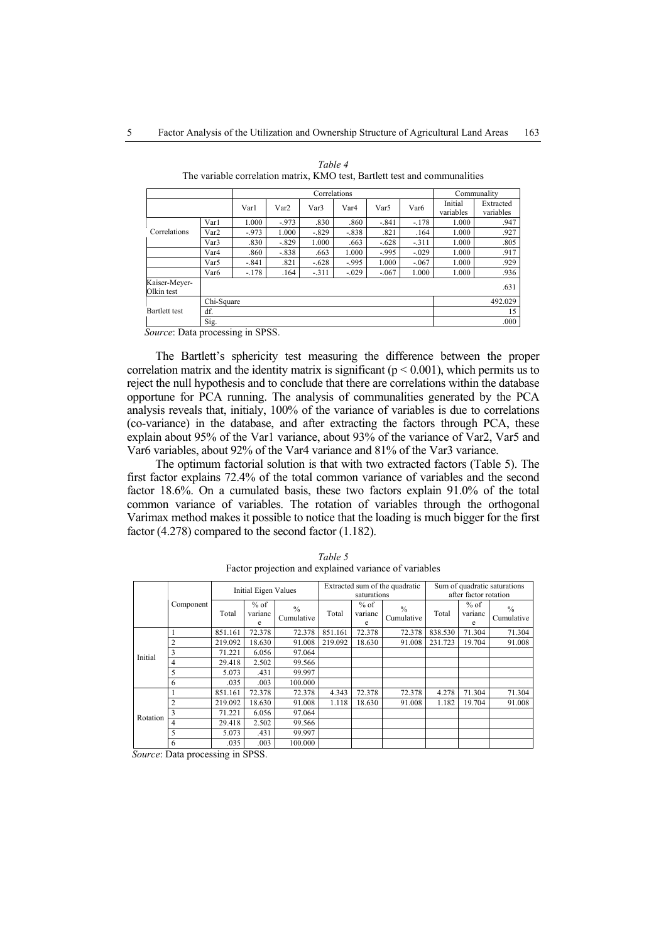|                             |                  |         |         | Communality |                  |         |                  |                      |                        |
|-----------------------------|------------------|---------|---------|-------------|------------------|---------|------------------|----------------------|------------------------|
|                             |                  | Varl    | Var2    | Var3        | Var <sub>4</sub> | Var5    | Var <sub>6</sub> | Initial<br>variables | Extracted<br>variables |
|                             | Var1             | 1.000   | $-973$  | .830        | .860             | $-.841$ | $-.178$          | 1.000                | .947                   |
| Correlations                | Var <sub>2</sub> | $-973$  | 1.000   | $-829$      | $-838$           | .821    | .164             | 1.000                | .927                   |
|                             | Var <sub>3</sub> | .830    | $-.829$ | 1.000       | .663             | $-.628$ | $-311$           | 1.000                | .805                   |
|                             | Var <sub>4</sub> | .860    | $-.838$ | .663        | 1.000            | $-995$  | $-.029$          | 1.000                | .917                   |
|                             | Var5             | $-.841$ | .821    | $-.628$     | $-995$           | 1.000   | $-.067$          | 1.000                | .929                   |
|                             | Var <sub>6</sub> | $-.178$ | .164    | $-311$      | $-.029$          | $-.067$ | 1.000            | 1.000                | .936                   |
| Kaiser-Meyer-<br>Olkin test |                  |         |         |             |                  |         |                  |                      | .631                   |
|                             | Chi-Square       |         | 492.029 |             |                  |         |                  |                      |                        |
| Bartlett test               | df.              |         | 15      |             |                  |         |                  |                      |                        |
|                             | Sig.             |         | .000    |             |                  |         |                  |                      |                        |

*Table 4*  The variable correlation matrix, KMO test, Bartlett test and communalities

 *Source*: Data processing in SPSS.

The Bartlett's sphericity test measuring the difference between the proper correlation matrix and the identity matrix is significant ( $p < 0.001$ ), which permits us to reject the null hypothesis and to conclude that there are correlations within the database opportune for PCA running. The analysis of communalities generated by the PCA analysis reveals that, initialy, 100% of the variance of variables is due to correlations (co-variance) in the database, and after extracting the factors through PCA, these explain about 95% of the Var1 variance, about 93% of the variance of Var2, Var5 and Var6 variables, about 92% of the Var4 variance and 81% of the Var3 variance.

The optimum factorial solution is that with two extracted factors (Table 5). The first factor explains 72.4% of the total common variance of variables and the second factor 18.6%. On a cumulated basis, these two factors explain 91.0% of the total common variance of variables. The rotation of variables through the orthogonal Varimax method makes it possible to notice that the loading is much bigger for the first factor (4.278) compared to the second factor (1.182).

|          |                | Initial Eigen Values |                        |                             |         | saturations            | Extracted sum of the quadratic | Sum of quadratic saturations<br>after factor rotation |                        |                             |
|----------|----------------|----------------------|------------------------|-----------------------------|---------|------------------------|--------------------------------|-------------------------------------------------------|------------------------|-----------------------------|
|          | Component      |                      | $%$ of<br>varianc<br>e | $\frac{0}{0}$<br>Cumulative | Total   | $%$ of<br>varianc<br>e | $\frac{0}{0}$<br>Cumulative    | Total                                                 | $%$ of<br>varianc<br>e | $\frac{0}{0}$<br>Cumulative |
|          |                | 851.161              | 72.378                 | 72.378                      | 851.161 | 72.378                 | 72.378                         | 838.530                                               | 71.304                 | 71.304                      |
|          | $\overline{2}$ | 219.092              | 18.630                 | 91.008                      | 219.092 | 18.630                 | 91.008                         | 231.723                                               | 19.704                 | 91.008                      |
| Initial  | 3              | 71.221               | 6.056                  | 97.064                      |         |                        |                                |                                                       |                        |                             |
|          | 4              | 29.418               | 2.502                  | 99.566                      |         |                        |                                |                                                       |                        |                             |
|          | 5              | 5.073                | .431                   | 99.997                      |         |                        |                                |                                                       |                        |                             |
|          | 6              | .035                 | .003                   | 100.000                     |         |                        |                                |                                                       |                        |                             |
|          |                | 851.161              | 72.378                 | 72.378                      | 4.343   | 72.378                 | 72.378                         | 4.278                                                 | 71.304                 | 71.304                      |
|          | 2              | 219.092              | 18.630                 | 91.008                      | 1.118   | 18.630                 | 91.008                         | 1.182                                                 | 19.704                 | 91.008                      |
| Rotation | 3              | 71.221               | 6.056                  | 97.064                      |         |                        |                                |                                                       |                        |                             |
|          |                | 29.418               | 2.502                  | 99.566                      |         |                        |                                |                                                       |                        |                             |
|          | 5              | 5.073                | .431                   | 99.997                      |         |                        |                                |                                                       |                        |                             |
|          | 6              | .035                 | .003                   | 100.000                     |         |                        |                                |                                                       |                        |                             |

*Table 5*  Factor projection and explained variance of variables

 *Source*: Data processing in SPSS.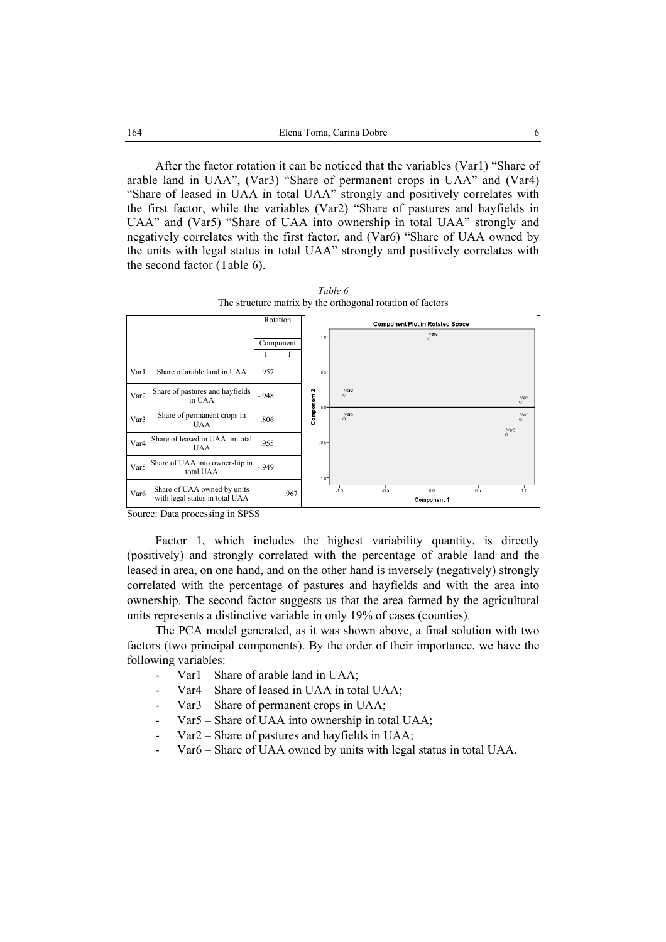After the factor rotation it can be noticed that the variables (Var1) "Share of arable land in UAA", (Var3) "Share of permanent crops in UAA" and (Var4) "Share of leased in UAA in total UAA" strongly and positively correlates with the first factor, while the variables (Var2) "Share of pastures and hayfields in UAA" and (Var5) "Share of UAA into ownership in total UAA" strongly and negatively correlates with the first factor, and (Var6) "Share of UAA owned by the units with legal status in total UAA" strongly and positively correlates with the second factor (Table 6).

|                  |                                                               |           | Rotation |                        |                 | <b>Component Plot in Rotated Space</b> |                           |         |                         |
|------------------|---------------------------------------------------------------|-----------|----------|------------------------|-----------------|----------------------------------------|---------------------------|---------|-------------------------|
|                  |                                                               | Component |          | $1.0 -$                |                 |                                        | $\sqrt{a}$ r6<br>$\circ$  |         |                         |
| Var1             | Share of arable land in UAA                                   | .957      |          | $0.5 -$                |                 |                                        |                           |         |                         |
| Var <sub>2</sub> | Share of pastures and hayfields<br>in UAA                     | $-948$    |          | Component 2<br>$0.0 -$ | Var2<br>$\circ$ |                                        |                           |         | Var4<br>$\circ$         |
| Var <sub>3</sub> | Share of permanent crops in<br><b>UAA</b>                     | .806      |          |                        | Var5<br>$\circ$ |                                        |                           |         | Var1<br>$\circ$<br>Var3 |
| Var <sub>4</sub> | Share of leased in UAA in total<br><b>UAA</b>                 | .955      |          | $-0.5-$                |                 |                                        |                           | $\circ$ |                         |
| Var5             | Share of UAA into ownership in<br>total UAA                   | $-949$    |          | $-1.0 -$               |                 |                                        |                           |         |                         |
| Var <sub>6</sub> | Share of UAA owned by units<br>with legal status in total UAA |           | .967     |                        | $-1.0$          | $-0.5$                                 | 0.0<br><b>Component 1</b> | 0.5     | 1.0                     |

*Table 6*  The structure matrix by the orthogonal rotation of factors

Source: Data processing in SPSS

Factor 1, which includes the highest variability quantity, is directly (positively) and strongly correlated with the percentage of arable land and the leased in area, on one hand, and on the other hand is inversely (negatively) strongly correlated with the percentage of pastures and hayfields and with the area into ownership. The second factor suggests us that the area farmed by the agricultural units represents a distinctive variable in only 19% of cases (counties).

The PCA model generated, as it was shown above, a final solution with two factors (two principal components). By the order of their importance, we have the following variables:

- Var1 Share of arable land in UAA;
- Var4 Share of leased in UAA in total UAA;
- Var3 Share of permanent crops in UAA;
- Var5 Share of UAA into ownership in total UAA;
- Var2 Share of pastures and hayfields in UAA;
- Var6 Share of UAA owned by units with legal status in total UAA.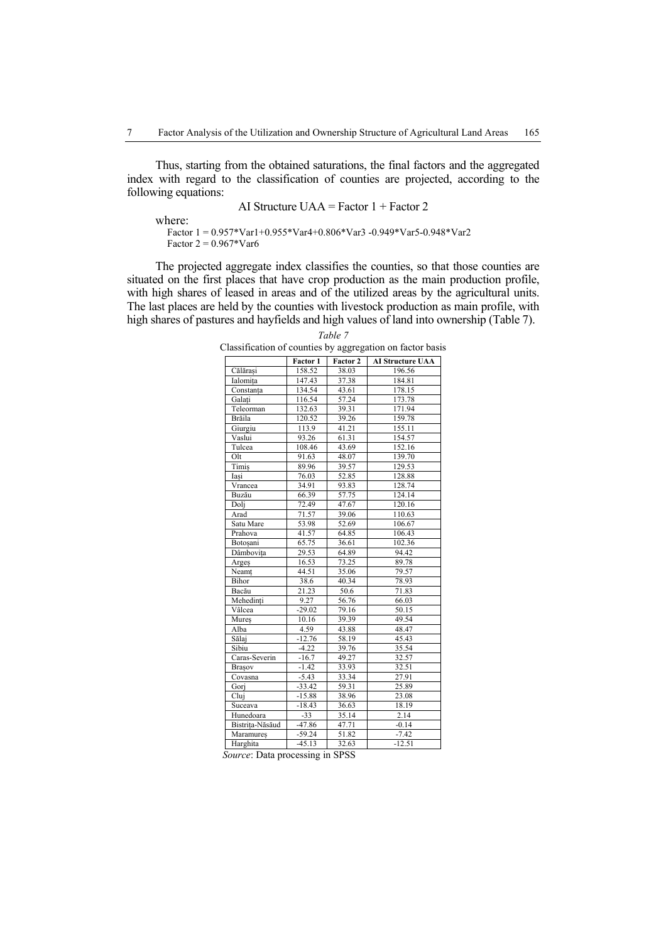Thus, starting from the obtained saturations, the final factors and the aggregated index with regard to the classification of counties are projected, according to the following equations:

AI Structure UAA = Factor 
$$
1 + Factor 2
$$

where:

 Factor 1 = 0.957\*Var1+0.955\*Var4+0.806\*Var3 -0.949\*Var5-0.948\*Var2 Factor  $2 = 0.967*Var6$ 

The projected aggregate index classifies the counties, so that those counties are situated on the first places that have crop production as the main production profile, with high shares of leased in areas and of the utilized areas by the agricultural units. The last places are held by the counties with livestock production as main profile, with high shares of pastures and hayfields and high values of land into ownership (Table 7).

*Table 7* 

Classification of counties by aggregation on factor basis

|                 | Factor 1 | Factor 2 | <b>AI Structure UAA</b> |
|-----------------|----------|----------|-------------------------|
| Călărași        | 158.52   | 38.03    | 196.56                  |
| Ialomita        | 147.43   | 37.38    | 184.81                  |
| Constanța       | 134.54   | 43.61    | 178.15                  |
| Galati          | 116.54   | 57.24    | 173.78                  |
| Teleorman       | 132.63   | 39.31    | 171.94                  |
| <b>Brăila</b>   | 120.52   | 39.26    | 159.78                  |
| Giurgiu         | 113.9    | 41.21    | 155.11                  |
| Vaslui          | 93.26    | 61.31    | 154.57                  |
| Tulcea          | 108.46   | 43.69    | 152.16                  |
| Olt             | 91.63    | 48.07    | 139.70                  |
| Timiş           | 89.96    | 39.57    | 129.53                  |
| Iași            | 76.03    | 52.85    | 128.88                  |
| Vrancea         | 34.91    | 93.83    | 128.74                  |
| Buzău           | 66.39    | 57.75    | 124.14                  |
| Dolj            | 72.49    | 47.67    | 120.16                  |
| Arad            | 71.57    | 39.06    | 110.63                  |
| Satu Mare       | 53.98    | 52.69    | 106.67                  |
| Prahova         | 41.57    | 64.85    | 106.43                  |
| Botoșani        | 65.75    | 36.61    | 102.36                  |
| Dâmbovița       | 29.53    | 64.89    | 94.42                   |
| Arges           | 16.53    | 73.25    | 89.78                   |
| Neamt           | 44.51    | 35.06    | 79.57                   |
| <b>Bihor</b>    | 38.6     | 40.34    | 78.93                   |
| Bacău           | 21.23    | 50.6     | 71.83                   |
| Mehedinți       | 9.27     | 56.76    | 66.03                   |
| Vâlcea          | $-29.02$ | 79.16    | 50.15                   |
| Mures           | 10.16    | 39.39    | 49.54                   |
| Alba            | 4.59     | 43.88    | 48.47                   |
| Sălaj           | $-12.76$ | 58.19    | 45.43                   |
| Sibiu           | $-4.22$  | 39.76    | 35.54                   |
| Caras-Severin   | $-16.7$  | 49.27    | 32.57                   |
| Brașov          | $-1.42$  | 33.93    | 32.51                   |
| Covasna         | $-5.43$  | 33.34    | 27.91                   |
| Gorj            | $-33.42$ | 59.31    | 25.89                   |
| Cluj            | $-15.88$ | 38.96    | 23.08                   |
| Suceava         | $-18.43$ | 36.63    | 18.19                   |
| Hunedoara       | $-33$    | 35.14    | 2.14                    |
| Bistrita-Năsăud | $-47.86$ | 47.71    | $-0.14$                 |
| Maramures       | $-59.24$ | 51.82    | $-7.42$                 |
| Harghita        | $-45.13$ | 32.63    | $-12.51$                |

 *Source*: Data processing in SPSS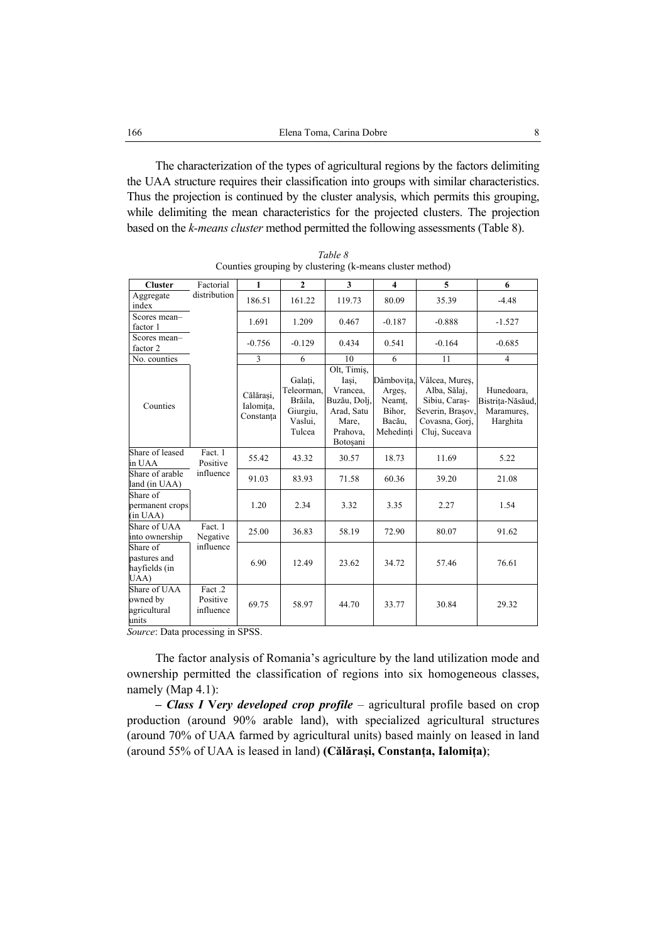The characterization of the types of agricultural regions by the factors delimiting the UAA structure requires their classification into groups with similar characteristics. Thus the projection is continued by the cluster analysis, which permits this grouping, while delimiting the mean characteristics for the projected clusters. The projection based on the *k-means cluster* method permitted the following assessments (Table 8).

| <b>Cluster</b>                                    | Factorial                        | $\mathbf{1}$                        | $\overline{2}$                                                    | 3                                                                                               | $\overline{\mathbf{4}}$                                         | 5                                                                                                      | 6                                                        |
|---------------------------------------------------|----------------------------------|-------------------------------------|-------------------------------------------------------------------|-------------------------------------------------------------------------------------------------|-----------------------------------------------------------------|--------------------------------------------------------------------------------------------------------|----------------------------------------------------------|
| Aggregate<br>index                                | distribution                     | 186.51                              | 161.22                                                            | 119.73                                                                                          | 80.09                                                           | 35.39                                                                                                  | $-4.48$                                                  |
| Scores mean-<br>factor 1                          |                                  | 1.691                               | 1.209                                                             | 0.467                                                                                           | $-0.187$                                                        | $-0.888$                                                                                               | $-1.527$                                                 |
| Scores mean-<br>factor 2                          |                                  | $-0.756$                            | $-0.129$                                                          | 0.434                                                                                           | 0.541                                                           | $-0.164$                                                                                               | $-0.685$                                                 |
| No. counties                                      |                                  | 3                                   | 6                                                                 | 10                                                                                              | 6                                                               | 11                                                                                                     | $\overline{4}$                                           |
| Counties                                          |                                  | Călărasi.<br>Ialomița,<br>Constanta | Galați,<br>Teleorman.<br>Brăila,<br>Giurgiu,<br>Vaslui,<br>Tulcea | Olt, Timis,<br>Iași,<br>Vrancea,<br>Buzău, Dolj,<br>Arad, Satu<br>Mare,<br>Prahova,<br>Botoșani | Dâmbovita,<br>Arges,<br>Neamt,<br>Bihor,<br>Bacău,<br>Mehedinți | Vâlcea, Mureș,<br>Alba, Sălaj,<br>Sibiu, Caras-<br>Severin, Brașov,<br>Covasna, Gorj,<br>Cluj, Suceava | Hunedoara,<br>Bistrița-Năsăud,<br>Maramures,<br>Harghita |
| Share of leased<br>in UAA                         | Fact. 1<br>Positive              | 55.42                               | 43.32                                                             | 30.57                                                                                           | 18.73                                                           | 11.69                                                                                                  | 5.22                                                     |
| Share of arable<br>land (in UAA)                  | influence                        | 91.03                               | 83.93                                                             | 71.58                                                                                           | 60.36                                                           | 39.20                                                                                                  | 21.08                                                    |
| Share of<br>permanent crops<br>(in UAA)           |                                  | 1.20                                | 2.34                                                              | 3.32                                                                                            | 3.35                                                            | 2.27                                                                                                   | 1.54                                                     |
| Share of UAA<br>into ownership                    | Fact. 1<br>Negative              | 25.00                               | 36.83                                                             | 58.19                                                                                           | 72.90                                                           | 80.07                                                                                                  | 91.62                                                    |
| Share of<br>pastures and<br>hayfields (in<br>UAA) | influence                        | 6.90                                | 12.49                                                             | 23.62                                                                                           | 34.72                                                           | 57.46                                                                                                  | 76.61                                                    |
| Share of UAA<br>owned by<br>agricultural<br>units | Fact .2<br>Positive<br>influence | 69.75                               | 58.97                                                             | 44.70                                                                                           | 33.77                                                           | 30.84                                                                                                  | 29.32                                                    |

*Table 8*  Counties grouping by clustering (k-means cluster method)

*Source*: Data processing in SPSS.

The factor analysis of Romania's agriculture by the land utilization mode and ownership permitted the classification of regions into six homogeneous classes, namely (Map 4.1):

**–** *Class I* **V***ery developed crop profile* – agricultural profile based on crop production (around 90% arable land), with specialized agricultural structures (around 70% of UAA farmed by agricultural units) based mainly on leased in land (around 55% of UAA is leased in land) **(Călărași, Constanța, Ialomița)**;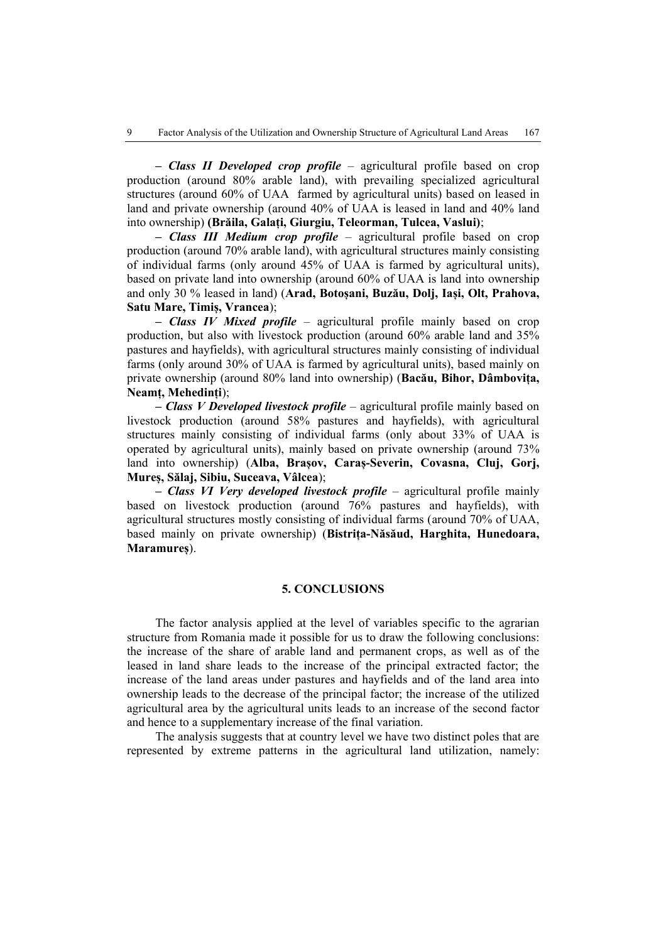**–** *Class II Developed crop profile* – agricultural profile based on crop production (around 80% arable land), with prevailing specialized agricultural structures (around 60% of UAA farmed by agricultural units) based on leased in land and private ownership (around 40% of UAA is leased in land and 40% land into ownership) **(Brăila, Galați, Giurgiu, Teleorman, Tulcea, Vaslui)**;

**–** *Class III Medium crop profile* – agricultural profile based on crop production (around 70% arable land), with agricultural structures mainly consisting of individual farms (only around 45% of UAA is farmed by agricultural units), based on private land into ownership (around 60% of UAA is land into ownership and only 30 % leased in land) (**Arad, Botoșani, Buzău, Dolj, Iași, Olt, Prahova, Satu Mare, Timiș, Vrancea**);

**–** *Class IV Mixed profile* – agricultural profile mainly based on crop production, but also with livestock production (around 60% arable land and 35% pastures and hayfields), with agricultural structures mainly consisting of individual farms (only around 30% of UAA is farmed by agricultural units), based mainly on private ownership (around 80% land into ownership) (**Bacău, Bihor, Dâmbovița, Neamț, Mehedinți**);

**–** *Class V Developed livestock profile* – agricultural profile mainly based on livestock production (around 58% pastures and hayfields), with agricultural structures mainly consisting of individual farms (only about 33% of UAA is operated by agricultural units), mainly based on private ownership (around 73% land into ownership) (Alba, Brasov, Caras-Severin, Covasna, Cluj, Gorj, **Mureș, Sălaj, Sibiu, Suceava, Vâlcea**);

**–** *Class VI Very developed livestock profile* – agricultural profile mainly based on livestock production (around 76% pastures and hayfields), with agricultural structures mostly consisting of individual farms (around 70% of UAA, based mainly on private ownership) (**Bistrița-Năsăud, Harghita, Hunedoara, Maramureș**).

# **5. CONCLUSIONS**

The factor analysis applied at the level of variables specific to the agrarian structure from Romania made it possible for us to draw the following conclusions: the increase of the share of arable land and permanent crops, as well as of the leased in land share leads to the increase of the principal extracted factor; the increase of the land areas under pastures and hayfields and of the land area into ownership leads to the decrease of the principal factor; the increase of the utilized agricultural area by the agricultural units leads to an increase of the second factor and hence to a supplementary increase of the final variation.

The analysis suggests that at country level we have two distinct poles that are represented by extreme patterns in the agricultural land utilization, namely: